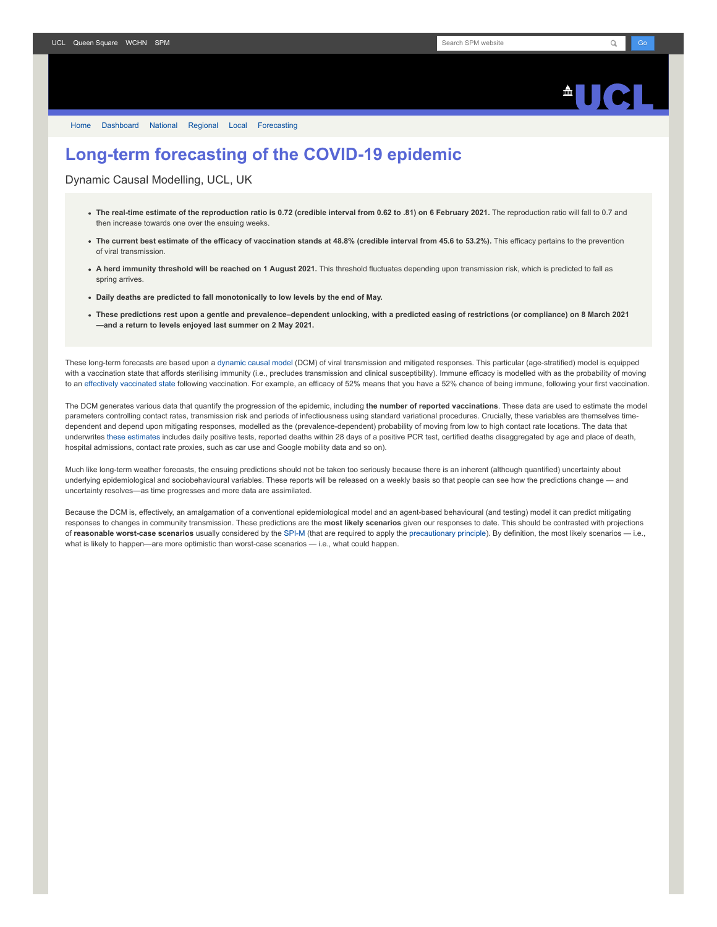

[Home](https://www.fil.ion.ucl.ac.uk/spm/covid-19/) [Dashboard](https://www.fil.ion.ucl.ac.uk/spm/covid-19/dashboard/) [National](https://www.fil.ion.ucl.ac.uk/spm/covid-19/dashboard/) [Regional](https://www.fil.ion.ucl.ac.uk/spm/covid-19/dashboard/regional/) [Local](https://www.fil.ion.ucl.ac.uk/spm/covid-19/dashboard/local/) [Forecasting](https://www.fil.ion.ucl.ac.uk/spm/covid-19/forecasting/)

## **Long-term forecasting of the COVID-19 epidemic**

Dynamic Causal Modelling, UCL, UK

- **The real-time estimate of the reproduction ratio is 0.72 (credible interval from 0.62 to .81) on 6 February 2021.** The reproduction ratio will fall to 0.7 and then increase towards one over the ensuing weeks.
- The current best estimate of the efficacy of vaccination stands at 48.8% (credible interval from 45.6 to 53.2%). This efficacy pertains to the prevention of viral transmission.
- **A herd immunity threshold will be reached on 1 August 2021.** This threshold fluctuates depending upon transmission risk, which is predicted to fall as spring arrives.
- **Daily deaths are predicted to fall monotonically to low levels by the end of May.**
- **These predictions rest upon a gentle and prevalence–dependent unlocking, with a predicted easing of restrictions (or compliance) on 8 March 2021 —and a return to levels enjoyed last summer on 2 May 2021.**

These long-term forecasts are based upon a [dynamic causal model](https://www.fil.ion.ucl.ac.uk/spm/covid-19) (DCM) of viral transmission and mitigated responses. This particular (age-stratified) model is equipped with a vaccination state that affords sterilising immunity (i.e., precludes transmission and clinical susceptibility). Immune efficacy is modelled with as the probability of moving to an [effectively vaccinated state](https://www.medrxiv.org/content/10.1101/2021.01.10.21249520v1) following vaccination. For example, an efficacy of 52% means that you have a 52% chance of being immune, following your first vaccination.

The DCM generates various data that quantify the progression of the epidemic, including **the number of reported vaccinations**. These data are used to estimate the model parameters controlling contact rates, transmission risk and periods of infectiousness using standard variational procedures. Crucially, these variables are themselves timedependent and depend upon mitigating responses, modelled as the (prevalence-dependent) probability of moving from low to high contact rate locations. The data that underwrites [these estimates](https://www.fil.ion.ucl.ac.uk/spm/covid-19/dashboard/) includes daily positive tests, reported deaths within 28 days of a positive PCR test, certified deaths disaggregated by age and place of death, hospital admissions, contact rate proxies, such as car use and Google mobility data and so on).

Much like long-term weather forecasts, the ensuing predictions should not be taken too seriously because there is an inherent (although quantified) uncertainty about underlying epidemiological and sociobehavioural variables. These reports will be released on a weekly basis so that people can see how the predictions change — and uncertainty resolves—as time progresses and more data are assimilated.

Because the DCM is, effectively, an amalgamation of a conventional epidemiological model and an agent-based behavioural (and testing) model it can predict mitigating responses to changes in community transmission. These predictions are the **most likely scenarios** given our responses to date. This should be contrasted with projections of **reasonable worst-case scenarios** usually considered by the [SPI-M](https://www.gov.uk/government/groups/scientific-pandemic-influenza-subgroup-on-modelling) (that are required to apply the [precautionary principle](https://en.wikipedia.org/wiki/Precautionary_principle)). By definition, the most likely scenarios — i.e., what is likely to happen—are more optimistic than worst-case scenarios — i.e., what could happen.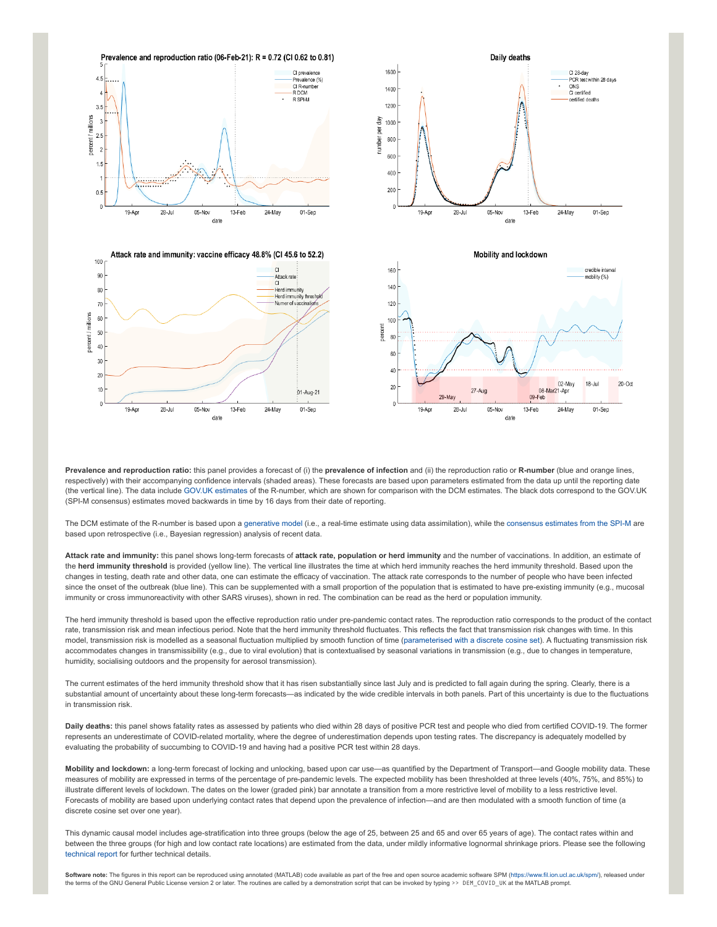

**Prevalence and reproduction ratio:** this panel provides a forecast of (i) the **prevalence of infection** and (ii) the reproduction ratio or **R-number** (blue and orange lines, respectively) with their accompanying confidence intervals (shaded areas). These forecasts are based upon parameters estimated from the data up until the reporting date (the vertical line). The data include [GOV.UK estimates](https://www.gov.uk/guidance/the-r-number-in-the-uk#latest-r-and-growth-rate) of the R-number, which are shown for comparison with the DCM estimates. The black dots correspond to the GOV.UK (SPI-M consensus) estimates moved backwards in time by 16 days from their date of reporting.

The DCM estimate of the R-number is based upon a [generative model](https://en.wikipedia.org/wiki/Generative_model) (i.e., a real-time estimate using data assimilation), while the [consensus estimates from the SPI-M](https://www.gov.uk/guidance/the-r-number-in-the-uk#contents) are based upon retrospective (i.e., Bayesian regression) analysis of recent data.

**Attack rate and immunity:** this panel shows long-term forecasts of **attack rate, population or herd immunity** and the number of vaccinations. In addition, an estimate of the **herd immunity threshold** is provided (yellow line). The vertical line illustrates the time at which herd immunity reaches the herd immunity threshold. Based upon the changes in testing, death rate and other data, one can estimate the efficacy of vaccination. The attack rate corresponds to the number of people who have been infected since the onset of the outbreak (blue line). This can be supplemented with a small proportion of the population that is estimated to have pre-existing immunity (e.g., mucosal immunity or cross immunoreactivity with other SARS viruses), shown in red. The combination can be read as the herd or population immunity.

The herd immunity threshold is based upon the effective reproduction ratio under pre-pandemic contact rates. The reproduction ratio corresponds to the product of the contact rate, transmission risk and mean infectious period. Note that the herd immunity threshold fluctuates. This reflects the fact that transmission risk changes with time. In this model, transmission risk is modelled as a seasonal fluctuation multiplied by smooth function of time ([parameterised with a discrete cosine set](https://www.medrxiv.org/content/10.1101/2021.01.10.21249520v1)). A fluctuating transmission risk accommodates changes in transmissibility (e.g., due to viral evolution) that is contextualised by seasonal variations in transmission (e.g., due to changes in temperature, humidity, socialising outdoors and the propensity for aerosol transmission).

The current estimates of the herd immunity threshold show that it has risen substantially since last July and is predicted to fall again during the spring. Clearly, there is a substantial amount of uncertainty about these long-term forecasts—as indicated by the wide credible intervals in both panels. Part of this uncertainty is due to the fluctuations in transmission risk.

**Daily deaths:** this panel shows fatality rates as assessed by patients who died within 28 days of positive PCR test and people who died from certified COVID-19. The former represents an underestimate of COVID-related mortality, where the degree of underestimation depends upon testing rates. The discrepancy is adequately modelled by evaluating the probability of succumbing to COVID-19 and having had a positive PCR test within 28 days.

**Mobility and lockdown:** a long-term forecast of locking and unlocking, based upon car use—as quantified by the Department of Transport—and Google mobility data. These measures of mobility are expressed in terms of the percentage of pre-pandemic levels. The expected mobility has been thresholded at three levels (40%, 75%, and 85%) to illustrate different levels of lockdown. The dates on the lower (graded pink) bar annotate a transition from a more restrictive level of mobility to a less restrictive level. Forecasts of mobility are based upon underlying contact rates that depend upon the prevalence of infection—and are then modulated with a smooth function of time (a discrete cosine set over one year).

This dynamic causal model includes age-stratification into three groups (below the age of 25, between 25 and 65 and over 65 years of age). The contact rates within and between the three groups (for high and low contact rate locations) are estimated from the data, under mildly informative lognormal shrinkage priors. Please see the following [technical report](https://arxiv.org/abs/2011.12400) for further technical details.

**Software note:** The figures in this report can be reproduced using annotated (MATLAB) code available as part of the free and open source academic software SPM (<https://www.fil.ion.ucl.ac.uk/spm/>), released under the terms of the GNU General Public License version 2 or later. The routines are called by a demonstration script that can be invoked by typing >> DEM\_COVID\_UK at the MATLAB prompt.